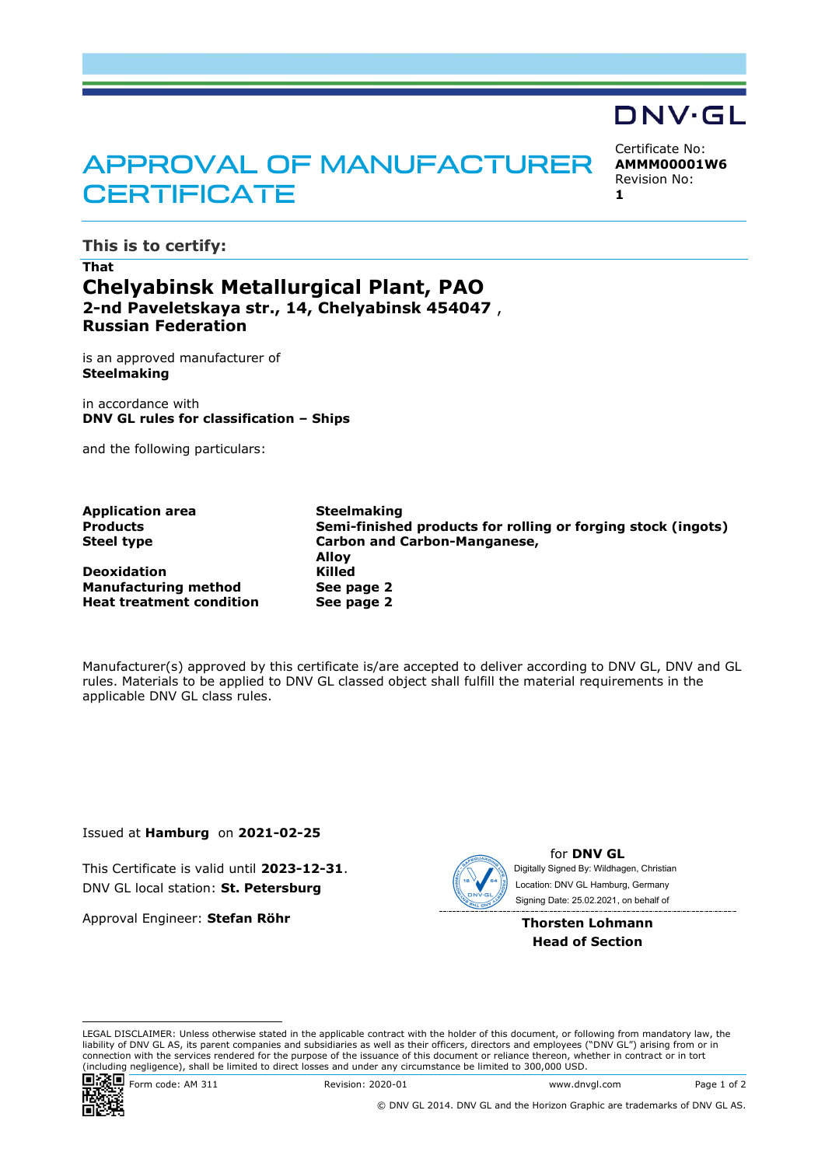## **APPROVAL OF MANUFACTURER CERTIFICATE**

Certificate No: **AMMM00001W6** Revision No: **1**

DNV·GL

**This is to certify:**

## **That Chelyabinsk Metallurgical Plant, PAO 2-nd Paveletskaya str., 14, Chelyabinsk 454047** , **Russian Federation**

is an approved manufacturer of **Steelmaking**

in accordance with **DNV GL rules for classification – Ships**

and the following particulars:

| <b>Application area</b>         | <b>Steelmaking</b>                                           |  |  |
|---------------------------------|--------------------------------------------------------------|--|--|
| <b>Products</b>                 | Semi-finished products for rolling or forging stock (ingots) |  |  |
| <b>Steel type</b>               | <b>Carbon and Carbon-Manganese,</b>                          |  |  |
|                                 | <b>Allov</b>                                                 |  |  |
| <b>Deoxidation</b>              | Killed                                                       |  |  |
| <b>Manufacturing method</b>     | See page 2                                                   |  |  |
| <b>Heat treatment condition</b> | See page 2                                                   |  |  |

Manufacturer(s) approved by this certificate is/are accepted to deliver according to DNV GL, DNV and GL rules. Materials to be applied to DNV GL classed object shall fulfill the material requirements in the applicable DNV GL class rules.

Issued at **Hamburg** on **2021-02-25**

This Certificate is valid until **2023-12-31**. DNV GL local station: **St. Petersburg**

Approval Engineer: **Stefan Röhr**



for **DNV GL** Signing Date: 25.02.2021 , on behalf ofDigitally Signed By: Wildhagen, Christian Location: DNV GL Hamburg, Germany

**Thorsten Lohmann Head of Section**

LEGAL DISCLAIMER: Unless otherwise stated in the applicable contract with the holder of this document, or following from mandatory law, the liability of DNV GL AS, its parent companies and subsidiaries as well as their officers, directors and employees ("DNV GL") arising from or in connection with the services rendered for the purpose of the issuance of this document or reliance thereon, whether in contract or in tort (including negligence), shall be limited to direct losses and under any circumstance be limited to 300,000 USD.



© DNV GL 2014. DNV GL and the Horizon Graphic are trademarks of DNV GL AS.